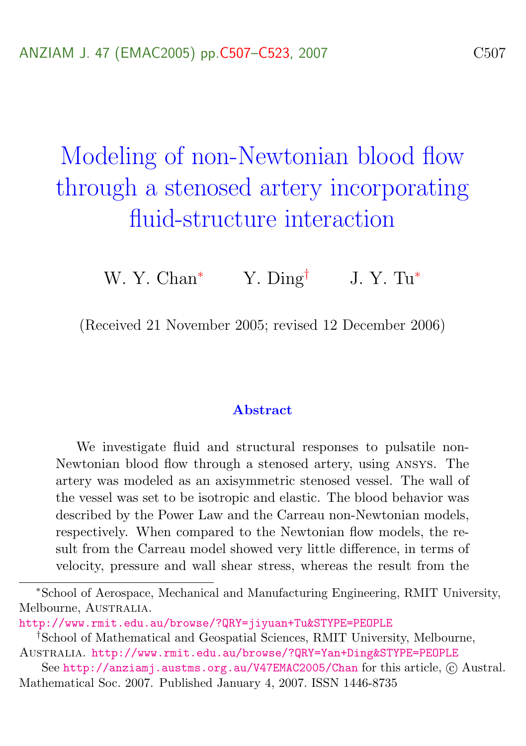# Modeling of non-Newtonian blood flow through a stenosed artery incorporating fluid-structure interaction

W. Y. Chan<sup>\*</sup> Y. Ding<sup>†</sup> J. Y. Tu<sup>\*</sup>

(Received 21 November 2005; revised 12 December 2006)

#### Abstract

We investigate fluid and structural responses to pulsatile non-Newtonian blood flow through a stenosed artery, using ansys. The artery was modeled as an axisymmetric stenosed vessel. The wall of the vessel was set to be isotropic and elastic. The blood behavior was described by the Power Law and the Carreau non-Newtonian models, respectively. When compared to the Newtonian flow models, the result from the Carreau model showed very little difference, in terms of velocity, pressure and wall shear stress, whereas the result from the

<sup>∗</sup>School of Aerospace, Mechanical and Manufacturing Engineering, RMIT University, Melbourne, AUSTRALIA.

<http://www.rmit.edu.au/browse/?QRY=jiyuan+Tu&STYPE=PEOPLE>

<sup>†</sup>School of Mathematical and Geospatial Sciences, RMIT University, Melbourne, Australia. <http://www.rmit.edu.au/browse/?QRY=Yan+Ding&STYPE=PEOPLE>

See <http://anziamj.austms.org.au/V47EMAC2005/Chan> for this article, © Austral. Mathematical Soc. 2007. Published January 4, 2007. ISSN 1446-8735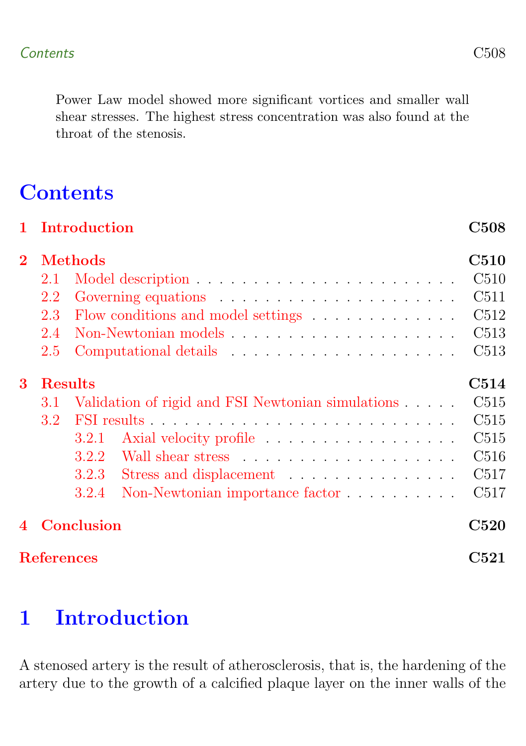Power Law model showed more significant vortices and smaller wall shear stresses. The highest stress concentration was also found at the throat of the stenosis.

# **Contents**

|                           |                | 1 Introduction                             |                                                   | C508             |  |  |  |  |
|---------------------------|----------------|--------------------------------------------|---------------------------------------------------|------------------|--|--|--|--|
| $\bf{2}$                  | <b>Methods</b> |                                            |                                                   |                  |  |  |  |  |
|                           | 2.1            |                                            |                                                   | C510             |  |  |  |  |
|                           | 2.2            |                                            |                                                   | C511             |  |  |  |  |
|                           | 2.3            | C512<br>Flow conditions and model settings |                                                   |                  |  |  |  |  |
|                           | 2.4            |                                            |                                                   | C513             |  |  |  |  |
|                           | 2.5            |                                            |                                                   | C513             |  |  |  |  |
| 3                         | <b>Results</b> |                                            |                                                   |                  |  |  |  |  |
|                           | 3.1            |                                            | Validation of rigid and FSI Newtonian simulations | C515             |  |  |  |  |
|                           | 3.2            |                                            |                                                   | C515             |  |  |  |  |
|                           |                | 3.2.1                                      | Axial velocity profile                            | C515             |  |  |  |  |
|                           |                | 3.2.2                                      |                                                   | C516             |  |  |  |  |
|                           |                | 3.2.3                                      | Stress and displacement                           | C <sub>517</sub> |  |  |  |  |
|                           |                | 3.2.4                                      | Non-Newtonian importance factor                   | C <sub>517</sub> |  |  |  |  |
| 4                         | Conclusion     |                                            |                                                   |                  |  |  |  |  |
| <b>References</b><br>C521 |                |                                            |                                                   |                  |  |  |  |  |

# <span id="page-1-0"></span>1 Introduction

A stenosed artery is the result of atherosclerosis, that is, the hardening of the artery due to the growth of a calcified plaque layer on the inner walls of the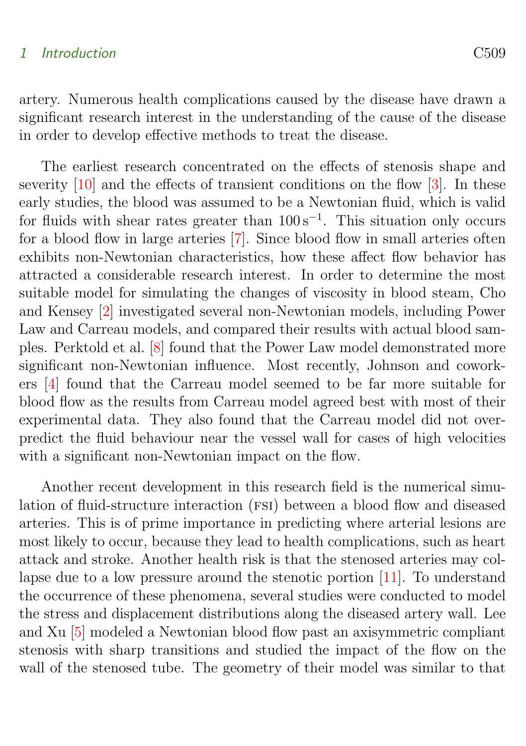#### <span id="page-2-0"></span>1 Introduction C509

artery. Numerous health complications caused by the disease have drawn a significant research interest in the understanding of the cause of the disease in order to develop effective methods to treat the disease.

The earliest research concentrated on the effects of stenosis shape and severity [\[10\]](#page-15-0) and the effects of transient conditions on the flow [\[3\]](#page-15-1). In these early studies, the blood was assumed to be a Newtonian fluid, which is valid for fluids with shear rates greater than  $100 s^{-1}$ . This situation only occurs for a blood flow in large arteries [\[7\]](#page-15-2). Since blood flow in small arteries often exhibits non-Newtonian characteristics, how these affect flow behavior has attracted a considerable research interest. In order to determine the most suitable model for simulating the changes of viscosity in blood steam, Cho and Kensey [\[2\]](#page-14-1) investigated several non-Newtonian models, including Power Law and Carreau models, and compared their results with actual blood samples. Perktold et al. [\[8\]](#page-15-3) found that the Power Law model demonstrated more significant non-Newtonian influence. Most recently, Johnson and coworkers [\[4\]](#page-15-4) found that the Carreau model seemed to be far more suitable for blood flow as the results from Carreau model agreed best with most of their experimental data. They also found that the Carreau model did not overpredict the fluid behaviour near the vessel wall for cases of high velocities with a significant non-Newtonian impact on the flow.

Another recent development in this research field is the numerical simulation of fluid-structure interaction (FSI) between a blood flow and diseased arteries. This is of prime importance in predicting where arterial lesions are most likely to occur, because they lead to health complications, such as heart attack and stroke. Another health risk is that the stenosed arteries may collapse due to a low pressure around the stenotic portion [\[11\]](#page-15-5). To understand the occurrence of these phenomena, several studies were conducted to model the stress and displacement distributions along the diseased artery wall. Lee and Xu [\[5\]](#page-15-6) modeled a Newtonian blood flow past an axisymmetric compliant stenosis with sharp transitions and studied the impact of the flow on the wall of the stenosed tube. The geometry of their model was similar to that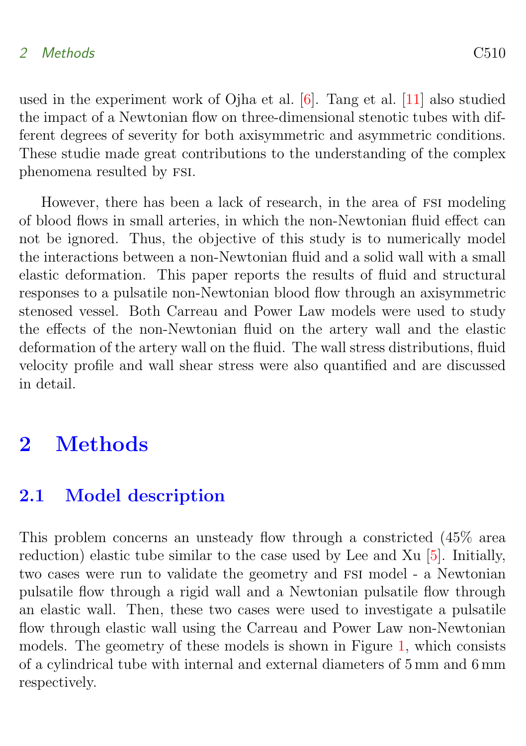### <span id="page-3-2"></span>2 Methods C510

used in the experiment work of Ojha et al. [\[6\]](#page-15-7). Tang et al. [\[11\]](#page-15-5) also studied the impact of a Newtonian flow on three-dimensional stenotic tubes with different degrees of severity for both axisymmetric and asymmetric conditions. These studie made great contributions to the understanding of the complex phenomena resulted by fsi.

However, there has been a lack of research, in the area of FSI modeling of blood flows in small arteries, in which the non-Newtonian fluid effect can not be ignored. Thus, the objective of this study is to numerically model the interactions between a non-Newtonian fluid and a solid wall with a small elastic deformation. This paper reports the results of fluid and structural responses to a pulsatile non-Newtonian blood flow through an axisymmetric stenosed vessel. Both Carreau and Power Law models were used to study the effects of the non-Newtonian fluid on the artery wall and the elastic deformation of the artery wall on the fluid. The wall stress distributions, fluid velocity profile and wall shear stress were also quantified and are discussed in detail.

# <span id="page-3-0"></span>2 Methods

### <span id="page-3-1"></span>2.1 Model description

This problem concerns an unsteady flow through a constricted (45% area reduction) elastic tube similar to the case used by Lee and Xu [\[5\]](#page-15-6). Initially, two cases were run to validate the geometry and FSI model - a Newtonian pulsatile flow through a rigid wall and a Newtonian pulsatile flow through an elastic wall. Then, these two cases were used to investigate a pulsatile flow through elastic wall using the Carreau and Power Law non-Newtonian models. The geometry of these models is shown in Figure [1,](#page-4-1) which consists of a cylindrical tube with internal and external diameters of 5 mm and 6 mm respectively.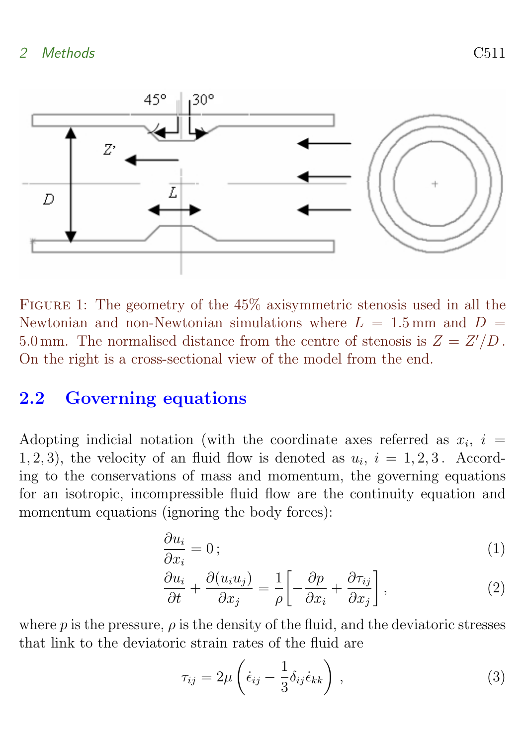

<span id="page-4-1"></span>Figure 1: The geometry of the 45% axisymmetric stenosis used in all the Newtonian and non-Newtonian simulations where  $L = 1.5$  mm and  $D =$ 5.0 mm. The normalised distance from the centre of stenosis is  $Z = Z'/D$ . On the right is a cross-sectional view of the model from the end.

### <span id="page-4-0"></span>2.2 Governing equations

Adopting indicial notation (with the coordinate axes referred as  $x_i$ ,  $i =$ 1, 2, 3), the velocity of an fluid flow is denoted as  $u_i$ ,  $i = 1, 2, 3$ . According to the conservations of mass and momentum, the governing equations for an isotropic, incompressible fluid flow are the continuity equation and momentum equations (ignoring the body forces):

$$
\frac{\partial u_i}{\partial x_i} = 0 \tag{1}
$$

$$
\frac{\partial u_i}{\partial t} + \frac{\partial (u_i u_j)}{\partial x_j} = \frac{1}{\rho} \left[ -\frac{\partial p}{\partial x_i} + \frac{\partial \tau_{ij}}{\partial x_j} \right],\tag{2}
$$

where p is the pressure,  $\rho$  is the density of the fluid, and the deviatoric stresses that link to the deviatoric strain rates of the fluid are

$$
\tau_{ij} = 2\mu \left( \dot{\epsilon}_{ij} - \frac{1}{3} \delta_{ij} \dot{\epsilon}_{kk} \right), \qquad (3)
$$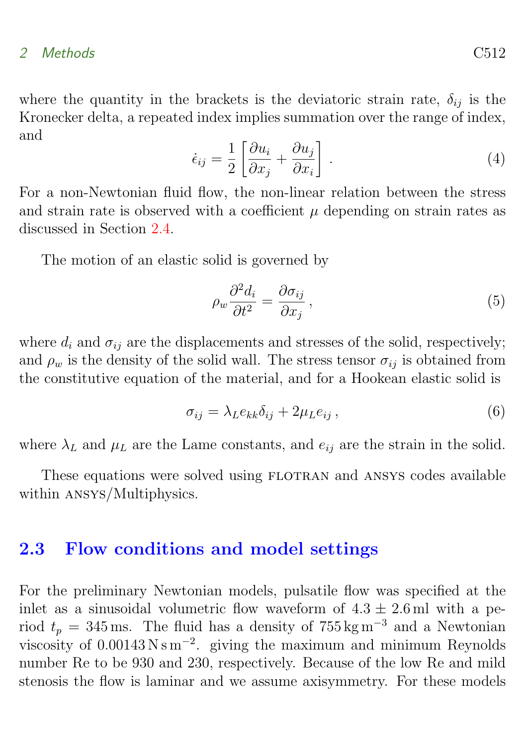#### 2 Methods C512

where the quantity in the brackets is the deviatoric strain rate,  $\delta_{ij}$  is the Kronecker delta, a repeated index implies summation over the range of index, and

<span id="page-5-1"></span>
$$
\dot{\epsilon}_{ij} = \frac{1}{2} \left[ \frac{\partial u_i}{\partial x_j} + \frac{\partial u_j}{\partial x_i} \right]. \tag{4}
$$

For a non-Newtonian fluid flow, the non-linear relation between the stress and strain rate is observed with a coefficient  $\mu$  depending on strain rates as discussed in Section [2.4.](#page-6-0)

The motion of an elastic solid is governed by

$$
\rho_w \frac{\partial^2 d_i}{\partial t^2} = \frac{\partial \sigma_{ij}}{\partial x_j},\tag{5}
$$

where  $d_i$  and  $\sigma_{ij}$  are the displacements and stresses of the solid, respectively; and  $\rho_w$  is the density of the solid wall. The stress tensor  $\sigma_{ij}$  is obtained from the constitutive equation of the material, and for a Hookean elastic solid is

$$
\sigma_{ij} = \lambda_L e_{kk} \delta_{ij} + 2\mu_L e_{ij} , \qquad (6)
$$

where  $\lambda_L$  and  $\mu_L$  are the Lame constants, and  $e_{ij}$  are the strain in the solid.

These equations were solved using FLOTRAN and ANSYS codes available within ansys/Multiphysics.

### <span id="page-5-0"></span>2.3 Flow conditions and model settings

For the preliminary Newtonian models, pulsatile flow was specified at the inlet as a sinusoidal volumetric flow waveform of  $4.3 \pm 2.6$  ml with a period  $t_p = 345$  ms. The fluid has a density of 755 kg m<sup>-3</sup> and a Newtonian viscosity of  $0.00143 \text{ N s m}^{-2}$ . giving the maximum and minimum Reynolds number Re to be 930 and 230, respectively. Because of the low Re and mild stenosis the flow is laminar and we assume axisymmetry. For these models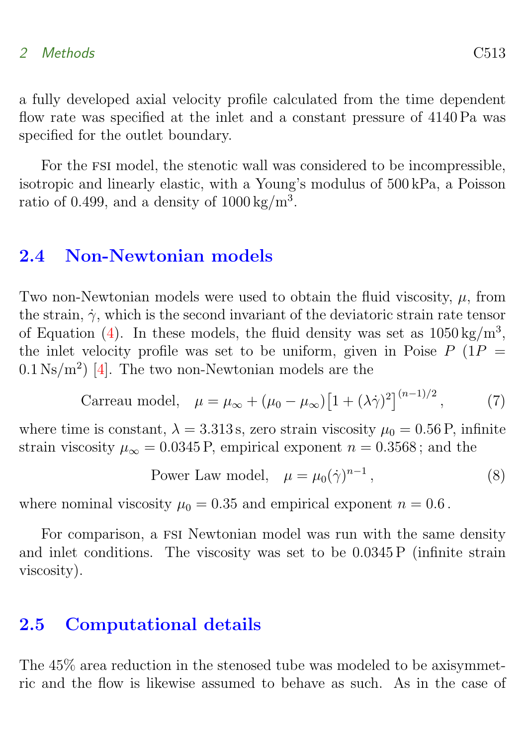### <span id="page-6-2"></span>2 Methods C513

a fully developed axial velocity profile calculated from the time dependent flow rate was specified at the inlet and a constant pressure of 4140 Pa was specified for the outlet boundary.

For the fsi model, the stenotic wall was considered to be incompressible, isotropic and linearly elastic, with a Young's modulus of 500 kPa, a Poisson ratio of 0.499, and a density of  $1000 \text{ kg/m}^3$ .

### <span id="page-6-0"></span>2.4 Non-Newtonian models

Two non-Newtonian models were used to obtain the fluid viscosity,  $\mu$ , from the strain,  $\dot{\gamma}$ , which is the second invariant of the deviatoric strain rate tensor of Equation [\(4\)](#page-5-1). In these models, the fluid density was set as  $1050 \,\mathrm{kg/m^3}$ , the inlet velocity profile was set to be uniform, given in Poise  $P(1P =$  $0.1\,\mathrm{Ns/m^2}$  [\[4\]](#page-15-4). The two non-Newtonian models are the

Carreau model, 
$$
\mu = \mu_{\infty} + (\mu_0 - \mu_{\infty}) [1 + (\lambda \dot{\gamma})^2]^{(n-1)/2}
$$
, (7)

where time is constant,  $\lambda = 3.313$  s, zero strain viscosity  $\mu_0 = 0.56$  P, infinite strain viscosity  $\mu_{\infty} = 0.0345$  P, empirical exponent  $n = 0.3568$ ; and the

Power Law model, 
$$
\mu = \mu_0(\dot{\gamma})^{n-1}
$$
, (8)

where nominal viscosity  $\mu_0 = 0.35$  and empirical exponent  $n = 0.6$ .

For comparison, a FSI Newtonian model was run with the same density and inlet conditions. The viscosity was set to be 0.0345 P (infinite strain viscosity).

### <span id="page-6-1"></span>2.5 Computational details

The 45% area reduction in the stenosed tube was modeled to be axisymmetric and the flow is likewise assumed to behave as such. As in the case of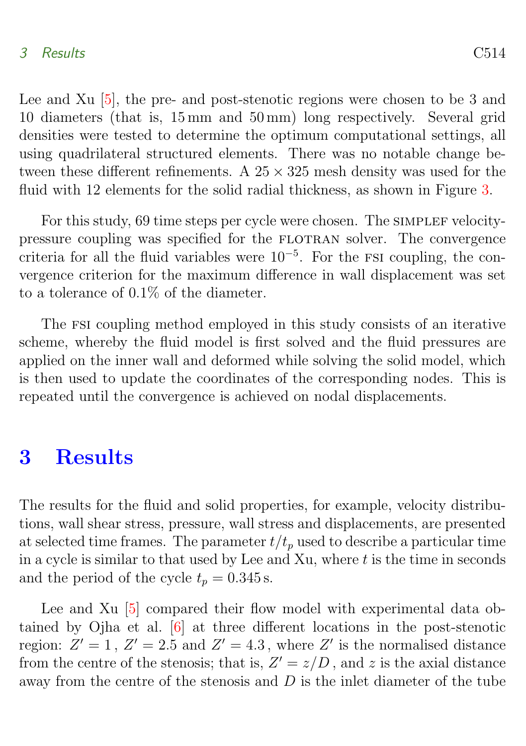#### <span id="page-7-1"></span>3 Results C514

Lee and Xu [\[5\]](#page-15-6), the pre- and post-stenotic regions were chosen to be 3 and 10 diameters (that is, 15 mm and 50 mm) long respectively. Several grid densities were tested to determine the optimum computational settings, all using quadrilateral structured elements. There was no notable change between these different refinements. A  $25 \times 325$  mesh density was used for the fluid with 12 elements for the solid radial thickness, as shown in Figure [3.](#page-11-0)

For this study, 69 time steps per cycle were chosen. The SIMPLEF velocitypressure coupling was specified for the FLOTRAN solver. The convergence criteria for all the fluid variables were  $10^{-5}$ . For the FSI coupling, the convergence criterion for the maximum difference in wall displacement was set to a tolerance of 0.1% of the diameter.

The fsi coupling method employed in this study consists of an iterative scheme, whereby the fluid model is first solved and the fluid pressures are applied on the inner wall and deformed while solving the solid model, which is then used to update the coordinates of the corresponding nodes. This is repeated until the convergence is achieved on nodal displacements.

# <span id="page-7-0"></span>3 Results

The results for the fluid and solid properties, for example, velocity distributions, wall shear stress, pressure, wall stress and displacements, are presented at selected time frames. The parameter  $t/t_p$  used to describe a particular time in a cycle is similar to that used by Lee and Xu, where  $t$  is the time in seconds and the period of the cycle  $t_p = 0.345$  s.

Lee and Xu [\[5\]](#page-15-6) compared their flow model with experimental data obtained by Ojha et al. [\[6\]](#page-15-7) at three different locations in the post-stenotic region:  $Z' = 1$ ,  $Z' = 2.5$  and  $Z' = 4.3$ , where  $Z'$  is the normalised distance from the centre of the stenosis; that is,  $Z' = z/D$ , and z is the axial distance away from the centre of the stenosis and  $D$  is the inlet diameter of the tube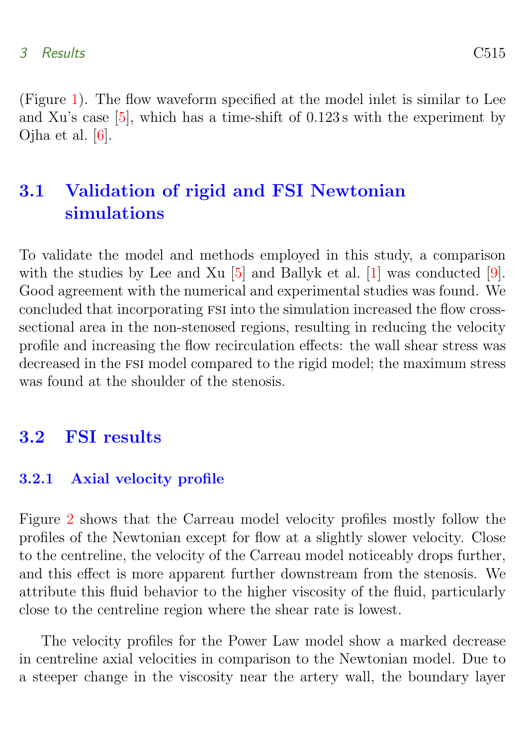<span id="page-8-3"></span>(Figure [1\)](#page-4-1). The flow waveform specified at the model inlet is similar to Lee and Xu's case [\[5\]](#page-15-6), which has a time-shift of 0.123 s with the experiment by Ojha et al. [\[6\]](#page-15-7).

# <span id="page-8-0"></span>3.1 Validation of rigid and FSI Newtonian simulations

To validate the model and methods employed in this study, a comparison with the studies by Lee and Xu [\[5\]](#page-15-6) and Ballyk et al. [\[1\]](#page-14-2) was conducted [\[9\]](#page-15-8). Good agreement with the numerical and experimental studies was found. We concluded that incorporating fsi into the simulation increased the flow crosssectional area in the non-stenosed regions, resulting in reducing the velocity profile and increasing the flow recirculation effects: the wall shear stress was decreased in the FSI model compared to the rigid model; the maximum stress was found at the shoulder of the stenosis.

### <span id="page-8-1"></span>3.2 FSI results

### <span id="page-8-2"></span>3.2.1 Axial velocity profile

Figure [2](#page-9-1) shows that the Carreau model velocity profiles mostly follow the profiles of the Newtonian except for flow at a slightly slower velocity. Close to the centreline, the velocity of the Carreau model noticeably drops further, and this effect is more apparent further downstream from the stenosis. We attribute this fluid behavior to the higher viscosity of the fluid, particularly close to the centreline region where the shear rate is lowest.

The velocity profiles for the Power Law model show a marked decrease in centreline axial velocities in comparison to the Newtonian model. Due to a steeper change in the viscosity near the artery wall, the boundary layer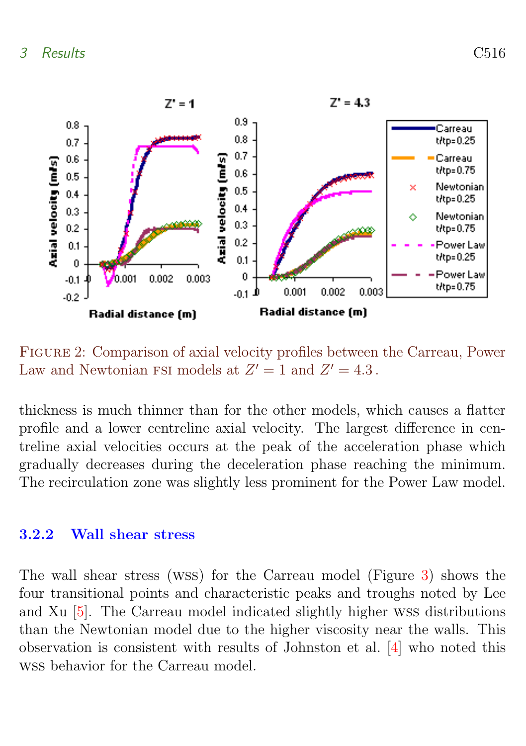<span id="page-9-2"></span>

<span id="page-9-1"></span>Figure 2: Comparison of axial velocity profiles between the Carreau, Power Law and Newtonian FSI models at  $Z' = 1$  and  $Z' = 4.3$ .

thickness is much thinner than for the other models, which causes a flatter profile and a lower centreline axial velocity. The largest difference in centreline axial velocities occurs at the peak of the acceleration phase which gradually decreases during the deceleration phase reaching the minimum. The recirculation zone was slightly less prominent for the Power Law model.

### <span id="page-9-0"></span>3.2.2 Wall shear stress

The wall shear stress (wss) for the Carreau model (Figure [3\)](#page-11-0) shows the four transitional points and characteristic peaks and troughs noted by Lee and Xu [\[5\]](#page-15-6). The Carreau model indicated slightly higher wss distributions than the Newtonian model due to the higher viscosity near the walls. This observation is consistent with results of Johnston et al. [\[4\]](#page-15-4) who noted this wss behavior for the Carreau model.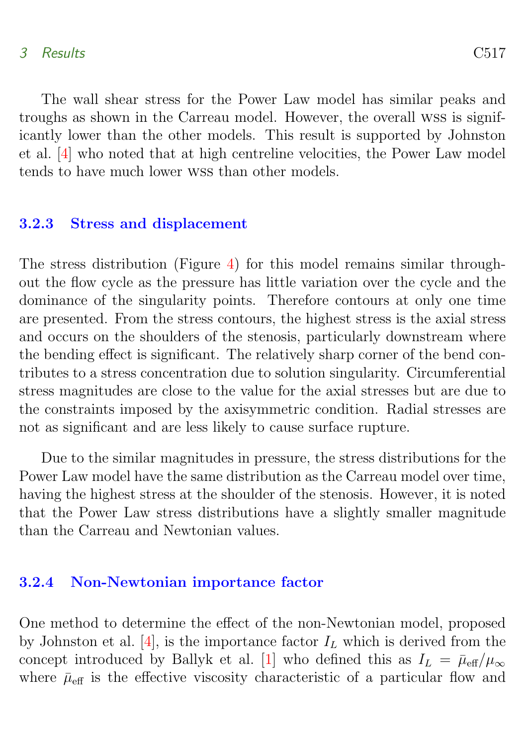#### <span id="page-10-2"></span>3 Results C517

The wall shear stress for the Power Law model has similar peaks and troughs as shown in the Carreau model. However, the overall wss is significantly lower than the other models. This result is supported by Johnston et al. [\[4\]](#page-15-4) who noted that at high centreline velocities, the Power Law model tends to have much lower wss than other models.

#### <span id="page-10-0"></span>3.2.3 Stress and displacement

The stress distribution (Figure [4\)](#page-11-1) for this model remains similar throughout the flow cycle as the pressure has little variation over the cycle and the dominance of the singularity points. Therefore contours at only one time are presented. From the stress contours, the highest stress is the axial stress and occurs on the shoulders of the stenosis, particularly downstream where the bending effect is significant. The relatively sharp corner of the bend contributes to a stress concentration due to solution singularity. Circumferential stress magnitudes are close to the value for the axial stresses but are due to the constraints imposed by the axisymmetric condition. Radial stresses are not as significant and are less likely to cause surface rupture.

Due to the similar magnitudes in pressure, the stress distributions for the Power Law model have the same distribution as the Carreau model over time, having the highest stress at the shoulder of the stenosis. However, it is noted that the Power Law stress distributions have a slightly smaller magnitude than the Carreau and Newtonian values.

### <span id="page-10-1"></span>3.2.4 Non-Newtonian importance factor

One method to determine the effect of the non-Newtonian model, proposed by Johnston et al. [\[4\]](#page-15-4), is the importance factor  $I_L$  which is derived from the concept introduced by Ballyk et al. [\[1\]](#page-14-2) who defined this as  $I_L = \bar{\mu}_{eff}/\mu_{\infty}$ where  $\bar{\mu}_{\text{eff}}$  is the effective viscosity characteristic of a particular flow and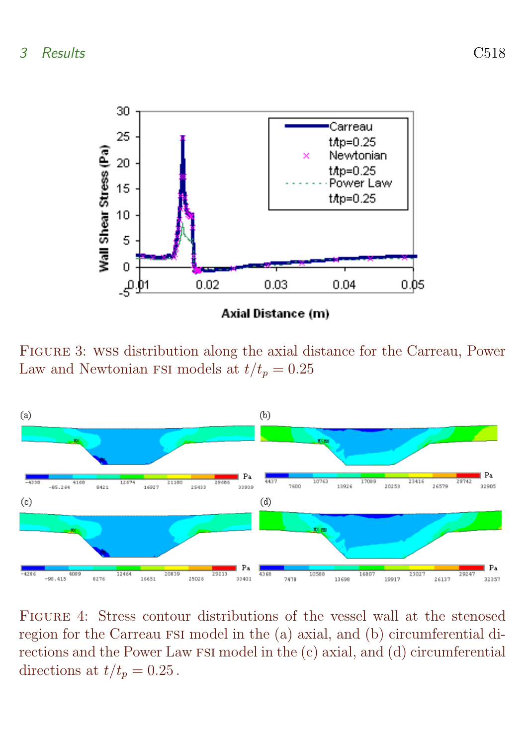

<span id="page-11-0"></span>Figure 3: wss distribution along the axial distance for the Carreau, Power Law and Newtonian FSI models at  $t/t_p = 0.25$ 



<span id="page-11-1"></span>Figure 4: Stress contour distributions of the vessel wall at the stenosed region for the Carreau FSI model in the (a) axial, and (b) circumferential directions and the Power Law FSI model in the (c) axial, and (d) circumferential directions at  $t/t_n = 0.25$ .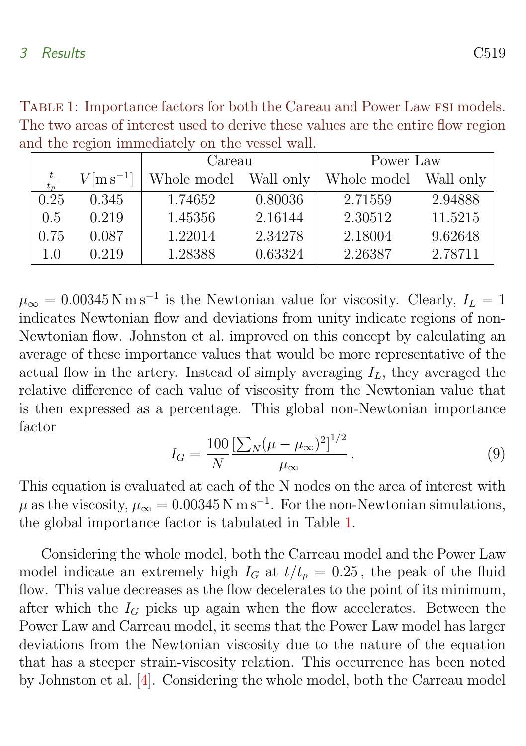|  |               |                          | Careau                |         | Power Law             |         |  |  |  |  |
|--|---------------|--------------------------|-----------------------|---------|-----------------------|---------|--|--|--|--|
|  | $rac{t}{t_p}$ | $V$ [m s <sup>-1</sup> ] | Whole model Wall only |         | Whole model Wall only |         |  |  |  |  |
|  | 0.25          | 0.345                    | 1.74652               | 0.80036 | 2.71559               | 2.94888 |  |  |  |  |
|  | 0.5           | 0.219                    | 1.45356               | 2.16144 | 2.30512               | 11.5215 |  |  |  |  |
|  | 0.75          | 0.087                    | 1.22014               | 2.34278 | 2.18004               | 9.62648 |  |  |  |  |
|  | 1.0           | 0.219                    | 1.28388               | 0.63324 | 2.26387               | 2.78711 |  |  |  |  |

<span id="page-12-1"></span><span id="page-12-0"></span>TABLE 1: Importance factors for both the Careau and Power Law FSI models. The two areas of interest used to derive these values are the entire flow region and the region immediately on the vessel wall.

 $\mu_{\infty} = 0.00345 \,\mathrm{N\,m\,s^{-1}}$  is the Newtonian value for viscosity. Clearly,  $I_L = 1$ indicates Newtonian flow and deviations from unity indicate regions of non-Newtonian flow. Johnston et al. improved on this concept by calculating an average of these importance values that would be more representative of the actual flow in the artery. Instead of simply averaging  $I_L$ , they averaged the relative difference of each value of viscosity from the Newtonian value that is then expressed as a percentage. This global non-Newtonian importance factor

$$
I_G = \frac{100}{N} \frac{\left[\sum_N (\mu - \mu_\infty)^2\right]^{1/2}}{\mu_\infty} \,. \tag{9}
$$

This equation is evaluated at each of the N nodes on the area of interest with  $\mu$  as the viscosity,  $\mu_{\infty} = 0.00345 \text{ N m s}^{-1}$ . For the non-Newtonian simulations, the global importance factor is tabulated in Table [1.](#page-12-0)

Considering the whole model, both the Carreau model and the Power Law model indicate an extremely high  $I_G$  at  $t/t_p = 0.25$ , the peak of the fluid flow. This value decreases as the flow decelerates to the point of its minimum, after which the  $I_G$  picks up again when the flow accelerates. Between the Power Law and Carreau model, it seems that the Power Law model has larger deviations from the Newtonian viscosity due to the nature of the equation that has a steeper strain-viscosity relation. This occurrence has been noted by Johnston et al. [\[4\]](#page-15-4). Considering the whole model, both the Carreau model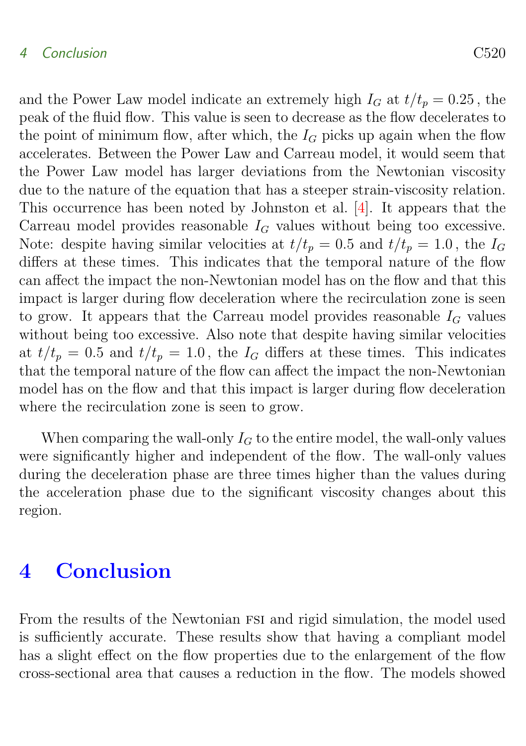### <span id="page-13-1"></span>4 Conclusion C520

and the Power Law model indicate an extremely high  $I_G$  at  $t/t_p = 0.25$ , the peak of the fluid flow. This value is seen to decrease as the flow decelerates to the point of minimum flow, after which, the  $I_G$  picks up again when the flow accelerates. Between the Power Law and Carreau model, it would seem that the Power Law model has larger deviations from the Newtonian viscosity due to the nature of the equation that has a steeper strain-viscosity relation. This occurrence has been noted by Johnston et al. [\[4\]](#page-15-4). It appears that the

Carreau model provides reasonable  $I_G$  values without being too excessive. Note: despite having similar velocities at  $t/t_p = 0.5$  and  $t/t_p = 1.0$ , the  $I_G$ differs at these times. This indicates that the temporal nature of the flow can affect the impact the non-Newtonian model has on the flow and that this impact is larger during flow deceleration where the recirculation zone is seen to grow. It appears that the Carreau model provides reasonable  $I_G$  values without being too excessive. Also note that despite having similar velocities at  $t/t_p = 0.5$  and  $t/t_p = 1.0$ , the  $I_G$  differs at these times. This indicates that the temporal nature of the flow can affect the impact the non-Newtonian model has on the flow and that this impact is larger during flow deceleration where the recirculation zone is seen to grow.

When comparing the wall-only  $I_G$  to the entire model, the wall-only values were significantly higher and independent of the flow. The wall-only values during the deceleration phase are three times higher than the values during the acceleration phase due to the significant viscosity changes about this region.

# <span id="page-13-0"></span>4 Conclusion

From the results of the Newtonian fsi and rigid simulation, the model used is sufficiently accurate. These results show that having a compliant model has a slight effect on the flow properties due to the enlargement of the flow cross-sectional area that causes a reduction in the flow. The models showed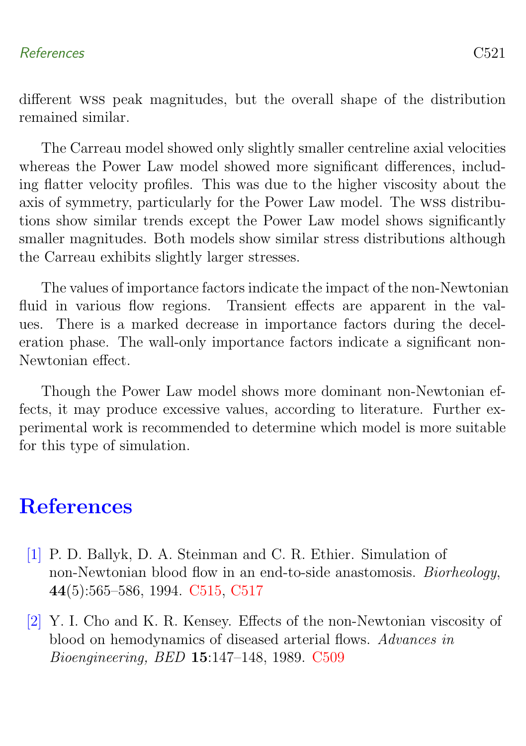### References C521

different wss peak magnitudes, but the overall shape of the distribution remained similar.

The Carreau model showed only slightly smaller centreline axial velocities whereas the Power Law model showed more significant differences, including flatter velocity profiles. This was due to the higher viscosity about the axis of symmetry, particularly for the Power Law model. The wss distributions show similar trends except the Power Law model shows significantly smaller magnitudes. Both models show similar stress distributions although the Carreau exhibits slightly larger stresses.

The values of importance factors indicate the impact of the non-Newtonian fluid in various flow regions. Transient effects are apparent in the values. There is a marked decrease in importance factors during the deceleration phase. The wall-only importance factors indicate a significant non-Newtonian effect.

Though the Power Law model shows more dominant non-Newtonian effects, it may produce excessive values, according to literature. Further experimental work is recommended to determine which model is more suitable for this type of simulation.

# **References**

- <span id="page-14-2"></span><span id="page-14-0"></span>[1] P. D. Ballyk, D. A. Steinman and C. R. Ethier. Simulation of non-Newtonian blood flow in an end-to-side anastomosis. Biorheology, 44(5):565–586, 1994. [C515,](#page-8-3) [C517](#page-10-2)
- <span id="page-14-1"></span>[2] Y. I. Cho and K. R. Kensey. Effects of the non-Newtonian viscosity of blood on hemodynamics of diseased arterial flows. Advances in Bioengineering, BED 15:147–148, 1989. [C509](#page-2-0)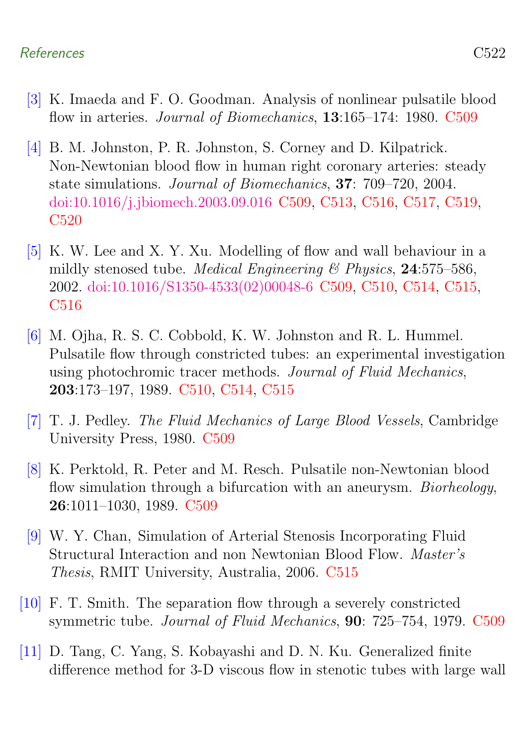### References C522

- <span id="page-15-1"></span>[3] K. Imaeda and F. O. Goodman. Analysis of nonlinear pulsatile blood flow in arteries. *Journal of Biomechanics*, **13**:165–174: 1980. [C509](#page-2-0)
- <span id="page-15-4"></span>[4] B. M. Johnston, P. R. Johnston, S. Corney and D. Kilpatrick. Non-Newtonian blood flow in human right coronary arteries: steady state simulations. Journal of Biomechanics, 37: 709–720, 2004. [doi:10.1016/j.jbiomech.2003.09.016](http://dx.doi.org/10.1016/j.jbiomech.2003.09.016) [C509,](#page-2-0) [C513,](#page-6-2) [C516,](#page-9-2) [C517,](#page-10-2) [C519,](#page-12-1) [C520](#page-13-1)
- <span id="page-15-6"></span>[5] K. W. Lee and X. Y. Xu. Modelling of flow and wall behaviour in a mildly stenosed tube. *Medical Engineering*  $\&$  Physics, 24:575–586, 2002. [doi:10.1016/S1350-4533\(02\)00048-6](http://dx.doi.org/10.1016/S1350-4533(02)00048-6) [C509,](#page-2-0) [C510,](#page-3-2) [C514,](#page-7-1) [C515,](#page-8-3) [C516](#page-9-2)
- <span id="page-15-7"></span>[6] M. Ojha, R. S. C. Cobbold, K. W. Johnston and R. L. Hummel. Pulsatile flow through constricted tubes: an experimental investigation using photochromic tracer methods. Journal of Fluid Mechanics, 203:173–197, 1989. [C510,](#page-3-2) [C514,](#page-7-1) [C515](#page-8-3)
- <span id="page-15-2"></span>[7] T. J. Pedley. The Fluid Mechanics of Large Blood Vessels, Cambridge University Press, 1980. [C509](#page-2-0)
- <span id="page-15-3"></span>[8] K. Perktold, R. Peter and M. Resch. Pulsatile non-Newtonian blood flow simulation through a bifurcation with an aneurysm. *Biorheology*, 26:1011–1030, 1989. [C509](#page-2-0)
- <span id="page-15-8"></span>[9] W. Y. Chan, Simulation of Arterial Stenosis Incorporating Fluid Structural Interaction and non Newtonian Blood Flow. Master's Thesis, RMIT University, Australia, 2006. [C515](#page-8-3)
- <span id="page-15-0"></span>[10] F. T. Smith. The separation flow through a severely constricted symmetric tube. Journal of Fluid Mechanics, 90: 725–754, 1979. [C509](#page-2-0)
- <span id="page-15-5"></span>[11] D. Tang, C. Yang, S. Kobayashi and D. N. Ku. Generalized finite difference method for 3-D viscous flow in stenotic tubes with large wall